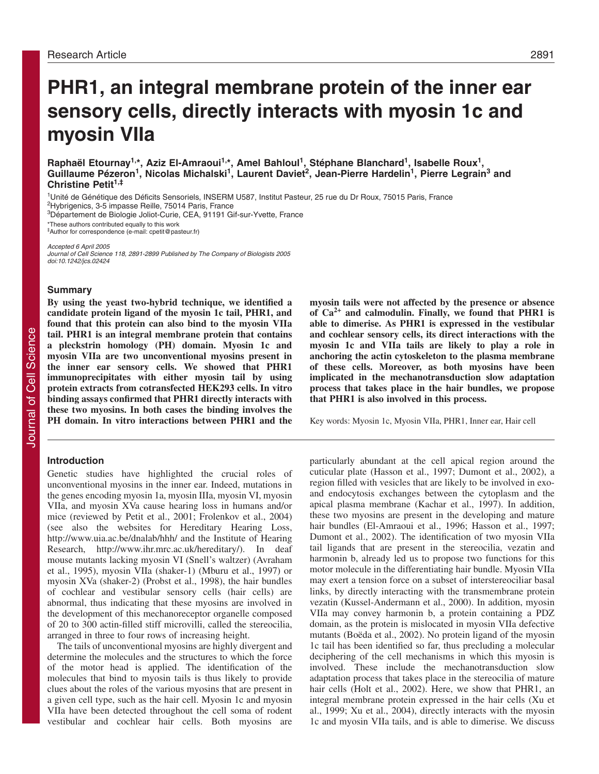# **PHR1, an integral membrane protein of the inner ear sensory cells, directly interacts with myosin 1c and myosin VIIa**

Raphaël Etournay<sup>1,\*</sup>, Aziz El-Amraoui<sup>1,\*</sup>, Amel Bahloul<sup>1</sup>, Stéphane Blanchard<sup>1</sup>, Isabelle Roux<sup>1</sup>, Guillaume Pézeron<sup>1</sup>, Nicolas Michalski<sup>1</sup>, Laurent Daviet<sup>2</sup>, Jean-Pierre Hardelin<sup>1</sup>, Pierre Legrain<sup>3</sup> and **Christine Petit1,‡**

1Unité de Génétique des Déficits Sensoriels, INSERM U587, Institut Pasteur, 25 rue du Dr Roux, 75015 Paris, France

2Hybrigenics, 3-5 impasse Reille, 75014 Paris, France

3Département de Biologie Joliot-Curie, CEA, 91191 Gif-sur-Yvette, France

\*These authors contributed equally to this work ‡Author for correspondence (e-mail: cpetit@pasteur.fr)

Accepted 6 April 2005 Journal of Cell Science 118, 2891-2899 Published by The Company of Biologists 2005 doi:10.1242/jcs.02424

# **Summary**

**By using the yeast two-hybrid technique, we identified a candidate protein ligand of the myosin 1c tail, PHR1, and found that this protein can also bind to the myosin VIIa tail. PHR1 is an integral membrane protein that contains a pleckstrin homology (PH) domain. Myosin 1c and myosin VIIa are two unconventional myosins present in the inner ear sensory cells. We showed that PHR1 immunoprecipitates with either myosin tail by using protein extracts from cotransfected HEK293 cells. In vitro binding assays confirmed that PHR1 directly interacts with these two myosins. In both cases the binding involves the PH domain. In vitro interactions between PHR1 and the**

# **Introduction**

Genetic studies have highlighted the crucial roles of unconventional myosins in the inner ear. Indeed, mutations in the genes encoding myosin 1a, myosin IIIa, myosin VI, myosin VIIa, and myosin XVa cause hearing loss in humans and/or mice (reviewed by Petit et al., 2001; Frolenkov et al., 2004) (see also the websites for Hereditary Hearing Loss, http://www.uia.ac.be/dnalab/hhh/ and the Institute of Hearing Research, http://www.ihr.mrc.ac.uk/hereditary/). In deaf mouse mutants lacking myosin VI (Snell's waltzer) (Avraham et al., 1995), myosin VIIa (shaker-1) (Mburu et al., 1997) or myosin XVa (shaker-2) (Probst et al., 1998), the hair bundles of cochlear and vestibular sensory cells (hair cells) are abnormal, thus indicating that these myosins are involved in the development of this mechanoreceptor organelle composed of 20 to 300 actin-filled stiff microvilli, called the stereocilia, arranged in three to four rows of increasing height.

The tails of unconventional myosins are highly divergent and determine the molecules and the structures to which the force of the motor head is applied. The identification of the molecules that bind to myosin tails is thus likely to provide clues about the roles of the various myosins that are present in a given cell type, such as the hair cell. Myosin 1c and myosin VIIa have been detected throughout the cell soma of rodent vestibular and cochlear hair cells. Both myosins are **myosin tails were not affected by the presence or absence of Ca2+ and calmodulin. Finally, we found that PHR1 is able to dimerise. As PHR1 is expressed in the vestibular and cochlear sensory cells, its direct interactions with the myosin 1c and VIIa tails are likely to play a role in anchoring the actin cytoskeleton to the plasma membrane of these cells. Moreover, as both myosins have been implicated in the mechanotransduction slow adaptation process that takes place in the hair bundles, we propose that PHR1 is also involved in this process.** 

Key words: Myosin 1c, Myosin VIIa, PHR1, Inner ear, Hair cell

particularly abundant at the cell apical region around the cuticular plate (Hasson et al., 1997; Dumont et al., 2002), a region filled with vesicles that are likely to be involved in exoand endocytosis exchanges between the cytoplasm and the apical plasma membrane (Kachar et al., 1997). In addition, these two myosins are present in the developing and mature hair bundles (El-Amraoui et al., 1996; Hasson et al., 1997; Dumont et al., 2002). The identification of two myosin VIIa tail ligands that are present in the stereocilia, vezatin and harmonin b, already led us to propose two functions for this motor molecule in the differentiating hair bundle. Myosin VIIa may exert a tension force on a subset of interstereociliar basal links, by directly interacting with the transmembrane protein vezatin (Kussel-Andermann et al., 2000). In addition, myosin VIIa may convey harmonin b, a protein containing a PDZ domain, as the protein is mislocated in myosin VIIa defective mutants (Boëda et al., 2002). No protein ligand of the myosin 1c tail has been identified so far, thus precluding a molecular deciphering of the cell mechanisms in which this myosin is involved. These include the mechanotransduction slow adaptation process that takes place in the stereocilia of mature hair cells (Holt et al., 2002). Here, we show that PHR1, an integral membrane protein expressed in the hair cells (Xu et al., 1999; Xu et al., 2004), directly interacts with the myosin 1c and myosin VIIa tails, and is able to dimerise. We discuss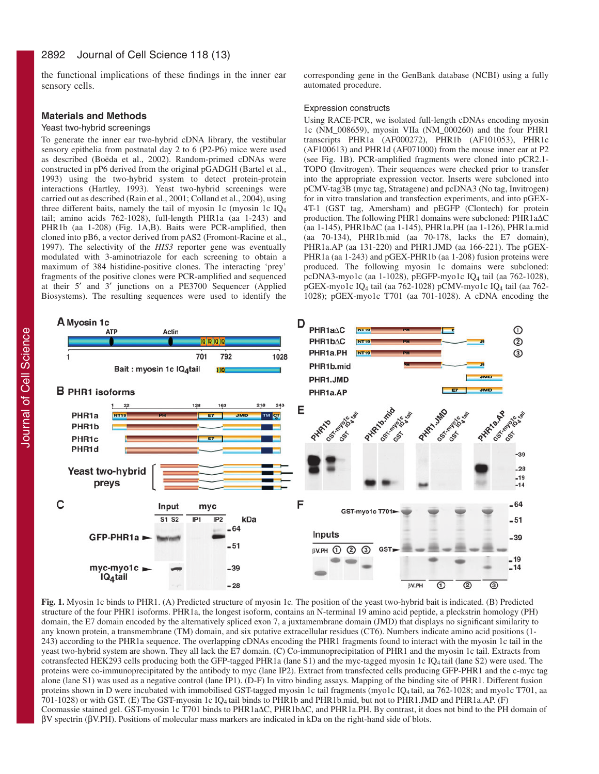the functional implications of these findings in the inner ear sensory cells.

# **Materials and Methods**

### Yeast two-hybrid screenings

To generate the inner ear two-hybrid cDNA library, the vestibular sensory epithelia from postnatal day 2 to 6 (P2-P6) mice were used as described (Boëda et al., 2002). Random-primed cDNAs were constructed in pP6 derived from the original pGADGH (Bartel et al., 1993) using the two-hybrid system to detect protein-protein interactions (Hartley, 1993). Yeast two-hybrid screenings were carried out as described (Rain et al., 2001; Colland et al., 2004), using three different baits, namely the tail of myosin 1c (myosin 1c IQ4 tail; amino acids 762-1028), full-length PHR1a (aa 1-243) and PHR1b (aa 1-208) (Fig. 1A,B). Baits were PCR-amplified, then cloned into pB6, a vector derived from pAS2 (Fromont-Racine et al., 1997). The selectivity of the *HIS3* reporter gene was eventually modulated with 3-aminotriazole for each screening to obtain a maximum of 384 histidine-positive clones. The interacting 'prey' fragments of the positive clones were PCR-amplified and sequenced at their 5′ and 3′ junctions on a PE3700 Sequencer (Applied Biosystems). The resulting sequences were used to identify the corresponding gene in the GenBank database (NCBI) using a fully automated procedure.

#### Expression constructs

Using RACE-PCR, we isolated full-length cDNAs encoding myosin 1c (NM\_008659), myosin VIIa (NM\_000260) and the four PHR1 transcripts PHR1a (AF000272), PHR1b (AF101053), PHR1c (AF100613) and PHR1d (AF071000) from the mouse inner ear at P2 (see Fig. 1B). PCR-amplified fragments were cloned into pCR2.1- TOPO (Invitrogen). Their sequences were checked prior to transfer into the appropriate expression vector. Inserts were subcloned into pCMV-tag3B (myc tag, Stratagene) and pcDNA3 (No tag, Invitrogen) for in vitro translation and transfection experiments, and into pGEX-4T-1 (GST tag, Amersham) and pEGFP (Clontech) for protein production. The following PHR1 domains were subcloned: PHR1a∆C (aa 1-145), PHR1b∆C (aa 1-145), PHR1a.PH (aa 1-126), PHR1a.mid (aa 70-134), PHR1b.mid (aa 70-178, lacks the E7 domain), PHR1a.AP (aa 131-220) and PHR1.JMD (aa 166-221). The pGEX-PHR1a (aa 1-243) and pGEX-PHR1b (aa 1-208) fusion proteins were produced. The following myosin 1c domains were subcloned: pcDNA3-myo1c (aa 1-1028), pEGFP-myo1c IQ4 tail (aa 762-1028), pGEX-myo1c IQ4 tail (aa 762-1028) pCMV-myo1c IQ4 tail (aa 762- 1028); pGEX-myo1c T701 (aa 701-1028). A cDNA encoding the



**Fig. 1.** Myosin 1c binds to PHR1. (A) Predicted structure of myosin 1c*.* The position of the yeast two-hybrid bait is indicated. (B) Predicted structure of the four PHR1 isoforms. PHR1a, the longest isoform, contains an N-terminal 19 amino acid peptide, a pleckstrin homology (PH) domain, the E7 domain encoded by the alternatively spliced exon 7, a juxtamembrane domain (JMD) that displays no significant similarity to any known protein, a transmembrane (TM) domain, and six putative extracellular residues (CT6). Numbers indicate amino acid positions (1- 243) according to the PHR1a sequence. The overlapping cDNAs encoding the PHR1 fragments found to interact with the myosin 1c tail in the yeast two-hybrid system are shown. They all lack the E7 domain. (C) Co-immunoprecipitation of PHR1 and the myosin 1c tail. Extracts from cotransfected HEK293 cells producing both the GFP-tagged PHR1a (lane S1) and the myc-tagged myosin 1c IQ4 tail (lane S2) were used. The proteins were co-immunoprecipitated by the antibody to myc (lane IP2). Extract from transfected cells producing GFP-PHR1 and the c-myc tag alone (lane S1) was used as a negative control (lane IP1). (D-F) In vitro binding assays. Mapping of the binding site of PHR1. Different fusion proteins shown in D were incubated with immobilised GST-tagged myosin 1c tail fragments (myo1c IQ4 tail, aa 762-1028; and myo1c T701, aa 701-1028) or with GST. (E) The GST-myosin 1c IQ4 tail binds to PHR1b and PHR1b.mid, but not to PHR1.JMD and PHR1a.AP. (F) Coomassie stained gel. GST-myosin 1c T701 binds to PHR1a∆C, PHR1b∆C, and PHR1a.PH. By contrast, it does not bind to the PH domain of βV spectrin (βV.PH). Positions of molecular mass markers are indicated in kDa on the right-hand side of blots.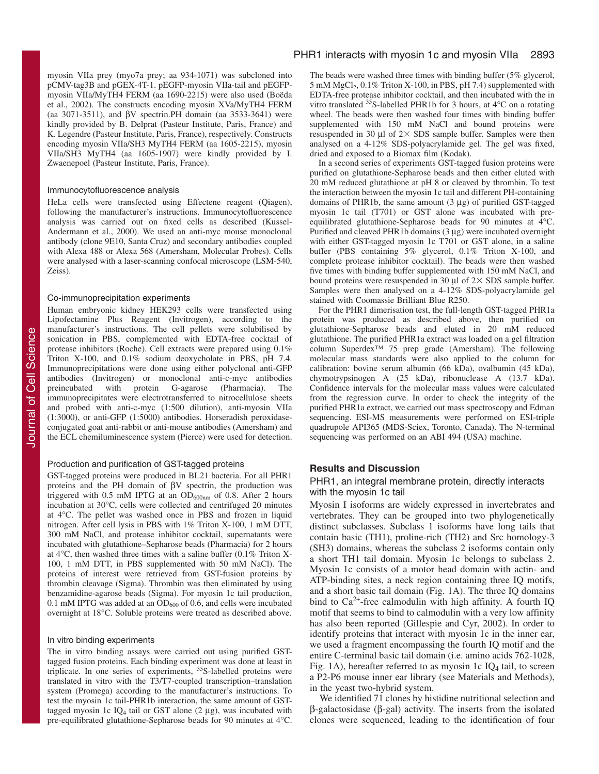myosin VIIa prey (myo7a prey; aa 934-1071) was subcloned into pCMV-tag3B and pGEX-4T-1. pEGFP-myosin VIIa-tail and pEGFPmyosin VIIa/MyTH4 FERM (aa 1690-2215) were also used (Boëda et al., 2002). The constructs encoding myosin XVa/MyTH4 FERM (aa 3071-3511), and βV spectrin.PH domain (aa 3533-3641) were kindly provided by B. Delprat (Pasteur Institute, Paris, France) and K. Legendre (Pasteur Institute, Paris, France), respectively. Constructs encoding myosin VIIa/SH3 MyTH4 FERM (aa 1605-2215), myosin VIIa/SH3 MyTH4 (aa 1605-1907) were kindly provided by I. Zwaenepoel (Pasteur Institute, Paris, France).

#### Immunocytofluorescence analysis

HeLa cells were transfected using Effectene reagent (Qiagen), following the manufacturer's instructions. Immunocytofluorescence analysis was carried out on fixed cells as described (Kussel-Andermann et al., 2000). We used an anti-myc mouse monoclonal antibody (clone 9E10, Santa Cruz) and secondary antibodies coupled with Alexa 488 or Alexa 568 (Amersham, Molecular Probes). Cells were analysed with a laser-scanning confocal microscope (LSM-540, Zeiss).

#### Co-immunoprecipitation experiments

Human embryonic kidney HEK293 cells were transfected using Lipofectamine Plus Reagent (Invitrogen), according to the manufacturer's instructions. The cell pellets were solubilised by sonication in PBS, complemented with EDTA-free cocktail of protease inhibitors (Roche). Cell extracts were prepared using 0.1% Triton X-100, and 0.1% sodium deoxycholate in PBS, pH 7.4. Immunoprecipitations were done using either polyclonal anti-GFP antibodies (Invitrogen) or monoclonal anti-c-myc antibodies preincubated with protein G-agarose (Pharmacia). The immunoprecipitates were electrotransferred to nitrocellulose sheets and probed with anti-c-myc (1:500 dilution), anti-myosin VIIa (1:3000), or anti-GFP (1:5000) antibodies. Horseradish peroxidaseconjugated goat anti-rabbit or anti-mouse antibodies (Amersham) and the ECL chemiluminescence system (Pierce) were used for detection.

#### Production and purification of GST-tagged proteins

GST-tagged proteins were produced in BL21 bacteria. For all PHR1 proteins and the PH domain of βV spectrin, the production was triggered with  $0.5$  mM IPTG at an  $OD_{600nm}$  of 0.8. After 2 hours incubation at 30°C, cells were collected and centrifuged 20 minutes at 4°C. The pellet was washed once in PBS and frozen in liquid nitrogen. After cell lysis in PBS with 1% Triton X-100, 1 mM DTT, 300 mM NaCl, and protease inhibitor cocktail, supernatants were incubated with glutathione–Sepharose beads (Pharmacia) for 2 hours at 4°C, then washed three times with a saline buffer (0.1% Triton X-100, 1 mM DTT, in PBS supplemented with 50 mM NaCl). The proteins of interest were retrieved from GST-fusion proteins by thrombin cleavage (Sigma). Thrombin was then eliminated by using benzamidine-agarose beads (Sigma). For myosin 1c tail production, 0.1 mM IPTG was added at an  $OD_{600}$  of 0.6, and cells were incubated overnight at 18°C. Soluble proteins were treated as described above.

# In vitro binding experiments

The in vitro binding assays were carried out using purified GSTtagged fusion proteins. Each binding experiment was done at least in triplicate. In one series of experiments, 35S-labelled proteins were translated in vitro with the T3/T7-coupled transcription–translation system (Promega) according to the manufacturer's instructions. To test the myosin 1c tail-PHR1b interaction, the same amount of GSTtagged myosin 1c IQ<sub>4</sub> tail or GST alone  $(2 \mu g)$ , was incubated with pre-equilibrated glutathione-Sepharose beads for 90 minutes at 4°C. The beads were washed three times with binding buffer (5% glycerol,  $5 \text{ mM MgCl}_2$ ,  $0.1\%$  Triton X-100, in PBS, pH 7.4) supplemented with EDTA-free protease inhibitor cocktail, and then incubated with the in vitro translated 35S-labelled PHR1b for 3 hours, at 4°C on a rotating wheel. The beads were then washed four times with binding buffer supplemented with 150 mM NaCl and bound proteins were resuspended in 30  $\mu$ l of 2 $\times$  SDS sample buffer. Samples were then analysed on a 4-12% SDS-polyacrylamide gel. The gel was fixed, dried and exposed to a Biomax film (Kodak).

In a second series of experiments GST-tagged fusion proteins were purified on glutathione-Sepharose beads and then either eluted with 20 mM reduced glutathione at pH 8 or cleaved by thrombin. To test the interaction between the myosin 1c tail and different PH-containing domains of PHR1b, the same amount (3 µg) of purified GST-tagged myosin 1c tail (T701) or GST alone was incubated with preequilibrated glutathione-Sepharose beads for 90 minutes at  $\hat{4}^{\circ}$ C. Purified and cleaved PHR1b domains (3 µg) were incubated overnight with either GST-tagged myosin 1c T701 or GST alone, in a saline buffer (PBS containing 5% glycerol, 0.1% Triton X-100, and complete protease inhibitor cocktail). The beads were then washed five times with binding buffer supplemented with 150 mM NaCl, and bound proteins were resuspended in 30  $\mu$ l of 2 $\times$  SDS sample buffer. Samples were then analysed on a 4-12% SDS-polyacrylamide gel stained with Coomassie Brilliant Blue R250.

For the PHR1 dimerisation test, the full-length GST-tagged PHR1a protein was produced as described above, then purified on glutathione-Sepharose beads and eluted in 20 mM reduced glutathione. The purified PHR1a extract was loaded on a gel filtration column Superdex™ 75 prep grade (Amersham). The following molecular mass standards were also applied to the column for calibration: bovine serum albumin (66 kDa), ovalbumin (45 kDa), chymotrypsinogen A (25 kDa), ribonuclease A (13.7 kDa). Confidence intervals for the molecular mass values were calculated from the regression curve. In order to check the integrity of the purified PHR1a extract, we carried out mass spectroscopy and Edman sequencing. ESI-MS measurements were performed on ESI-triple quadrupole API365 (MDS-Sciex, Toronto, Canada). The N-terminal sequencing was performed on an ABI 494 (USA) machine.

# **Results and Discussion**

# PHR1, an integral membrane protein, directly interacts with the myosin 1c tail

Myosin I isoforms are widely expressed in invertebrates and vertebrates. They can be grouped into two phylogenetically distinct subclasses. Subclass 1 isoforms have long tails that contain basic (TH1), proline-rich (TH2) and Src homology-3 (SH3) domains, whereas the subclass 2 isoforms contain only a short TH1 tail domain. Myosin 1c belongs to subclass 2. Myosin 1c consists of a motor head domain with actin- and ATP-binding sites, a neck region containing three IQ motifs, and a short basic tail domain (Fig. 1A). The three IQ domains bind to  $Ca^{2+}$ -free calmodulin with high affinity. A fourth IQ motif that seems to bind to calmodulin with a very low affinity has also been reported (Gillespie and Cyr, 2002). In order to identify proteins that interact with myosin 1c in the inner ear, we used a fragment encompassing the fourth IQ motif and the entire C-terminal basic tail domain (i.e. amino acids 762-1028, Fig. 1A), hereafter referred to as myosin 1c  $IQ<sub>4</sub>$  tail, to screen a P2-P6 mouse inner ear library (see Materials and Methods), in the yeast two-hybrid system.

We identified 71 clones by histidine nutritional selection and β-galactosidase (β-gal) activity. The inserts from the isolated clones were sequenced, leading to the identification of four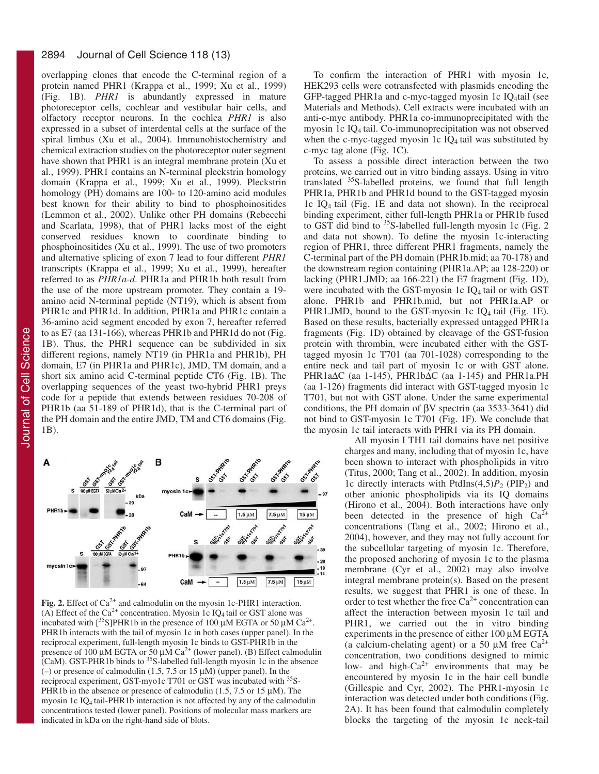#### 2894 Journal of Cell Science 118 (13)

Journal of Cell Science Journal of Cell Science overlapping clones that encode the C-terminal region of a protein named PHR1 (Krappa et al., 1999; Xu et al., 1999) (Fig. 1B). *PHR1* is abundantly expressed in mature photoreceptor cells, cochlear and vestibular hair cells, and olfactory receptor neurons. In the cochlea *PHR1* is also expressed in a subset of interdental cells at the surface of the spiral limbus (Xu et al., 2004). Immunohistochemistry and chemical extraction studies on the photoreceptor outer segment have shown that PHR1 is an integral membrane protein (Xu et al., 1999). PHR1 contains an N-terminal pleckstrin homology domain (Krappa et al., 1999; Xu et al., 1999). Pleckstrin homology (PH) domains are 100- to 120-amino acid modules best known for their ability to bind to phosphoinositides (Lemmon et al., 2002). Unlike other PH domains (Rebecchi and Scarlata, 1998), that of PHR1 lacks most of the eight conserved residues known to coordinate binding to phosphoinositides (Xu et al., 1999). The use of two promoters and alternative splicing of exon 7 lead to four different *PHR1* transcripts (Krappa et al., 1999; Xu et al., 1999), hereafter referred to as *PHR1a-d*. PHR1a and PHR1b both result from the use of the more upstream promoter. They contain a 19 amino acid N-terminal peptide (NT19), which is absent from PHR1c and PHR1d. In addition, PHR1a and PHR1c contain a 36-amino acid segment encoded by exon 7, hereafter referred to as E7 (aa 131-166), whereas PHR1b and PHR1d do not (Fig. 1B). Thus, the PHR1 sequence can be subdivided in six different regions, namely NT19 (in PHR1a and PHR1b), PH domain, E7 (in PHR1a and PHR1c), JMD, TM domain, and a short six amino acid C-terminal peptide CT6 (Fig. 1B). The overlapping sequences of the yeast two-hybrid PHR1 preys code for a peptide that extends between residues 70-208 of PHR1b (aa 51-189 of PHR1d), that is the C-terminal part of the PH domain and the entire JMD, TM and CT6 domains (Fig. 1B).



Fig. 2. Effect of Ca<sup>2+</sup> and calmodulin on the myosin 1c-PHR1 interaction. (A) Effect of the  $Ca^{2+}$  concentration. Myosin 1c IQ<sub>4</sub> tail or GST alone was incubated with  $\left[\right]$ <sup>35</sup>S]PHR1b in the presence of 100  $\mu$ M EGTA or 50  $\mu$ M Ca<sup>2+</sup>. PHR1b interacts with the tail of myosin 1c in both cases (upper panel). In the reciprocal experiment, full-length myosin 1c binds to GST-PHR1b in the presence of 100  $\mu$ M EGTA or 50  $\mu$ M Ca<sup>2+</sup> (lower panel). (B) Effect calmodulin (CaM). GST-PHR1b binds to  ${}^{35}S$ -labelled full-length myosin 1c in the absence (–) or presence of calmodulin (1.5, 7.5 or 15  $\mu$ M) (upper panel). In the reciprocal experiment, GST-myo1c T701 or GST was incubated with <sup>35</sup>S-PHR1b in the absence or presence of calmodulin  $(1.5, 7.5 \text{ or } 15 \mu \text{M})$ . The myosin 1c IQ4 tail-PHR1b interaction is not affected by any of the calmodulin concentrations tested (lower panel). Positions of molecular mass markers are indicated in kDa on the right-hand side of blots.

To confirm the interaction of PHR1 with myosin 1c, HEK293 cells were cotransfected with plasmids encoding the GFP-tagged PHR1a and c-myc-tagged myosin 1c IQ4tail (see Materials and Methods). Cell extracts were incubated with an anti-c-myc antibody. PHR1a co-immunoprecipitated with the myosin 1c IQ4 tail. Co-immunoprecipitation was not observed when the c-myc-tagged myosin 1c  $IQ<sub>4</sub>$  tail was substituted by c-myc tag alone (Fig. 1C).

To assess a possible direct interaction between the two proteins, we carried out in vitro binding assays. Using in vitro translated 35S-labelled proteins, we found that full length PHR1a, PHR1b and PHR1d bound to the GST-tagged myosin 1c IQ4 tail (Fig. 1E and data not shown). In the reciprocal binding experiment, either full-length PHR1a or PHR1b fused to GST did bind to <sup>35</sup>S-labelled full-length myosin 1c (Fig. 2) and data not shown). To define the myosin 1c-interacting region of PHR1, three different PHR1 fragments, namely the C-terminal part of the PH domain (PHR1b.mid; aa 70-178) and the downstream region containing (PHR1a.AP; aa 128-220) or lacking (PHR1.JMD; aa 166-221) the E7 fragment (Fig. 1D), were incubated with the GST-myosin 1c IQ4 tail or with GST alone. PHR1b and PHR1b.mid, but not PHR1a.AP or PHR1.JMD, bound to the GST-myosin 1c  $IQ_4$  tail (Fig. 1E). Based on these results, bacterially expressed untagged PHR1a fragments (Fig. 1D) obtained by cleavage of the GST-fusion protein with thrombin, were incubated either with the GSTtagged myosin 1c T701 (aa 701-1028) corresponding to the entire neck and tail part of myosin 1c or with GST alone. PHR1a∆C (aa 1-145), PHR1b∆C (aa 1-145) and PHR1a.PH (aa 1-126) fragments did interact with GST-tagged myosin 1c T701, but not with GST alone. Under the same experimental conditions, the PH domain of βV spectrin (aa 3533-3641) did not bind to GST-myosin 1c T701 (Fig. 1F). We conclude that the myosin 1c tail interacts with PHR1 via its PH domain.

All myosin I TH1 tail domains have net positive charges and many, including that of myosin 1c, have been shown to interact with phospholipids in vitro (Titus, 2000; Tang et al., 2002). In addition, myosin 1c directly interacts with PtdIns $(4,5)P_2$  (PIP<sub>2</sub>) and other anionic phospholipids via its IQ domains (Hirono et al., 2004). Both interactions have only been detected in the presence of high  $Ca^{2+}$ concentrations (Tang et al., 2002; Hirono et al., 2004), however, and they may not fully account for the subcellular targeting of myosin 1c. Therefore, the proposed anchoring of myosin 1c to the plasma membrane (Cyr et al., 2002) may also involve integral membrane protein(s). Based on the present results, we suggest that PHR1 is one of these. In order to test whether the free  $Ca^{2+}$  concentration can affect the interaction between myosin 1c tail and PHR1, we carried out the in vitro binding experiments in the presence of either 100 µM EGTA (a calcium-chelating agent) or a 50  $\mu$ M free Ca<sup>2+</sup> concentration, two conditions designed to mimic low- and high- $Ca^{2+}$  environments that may be encountered by myosin 1c in the hair cell bundle (Gillespie and Cyr, 2002). The PHR1-myosin 1c interaction was detected under both conditions (Fig. 2A). It has been found that calmodulin completely blocks the targeting of the myosin 1c neck-tail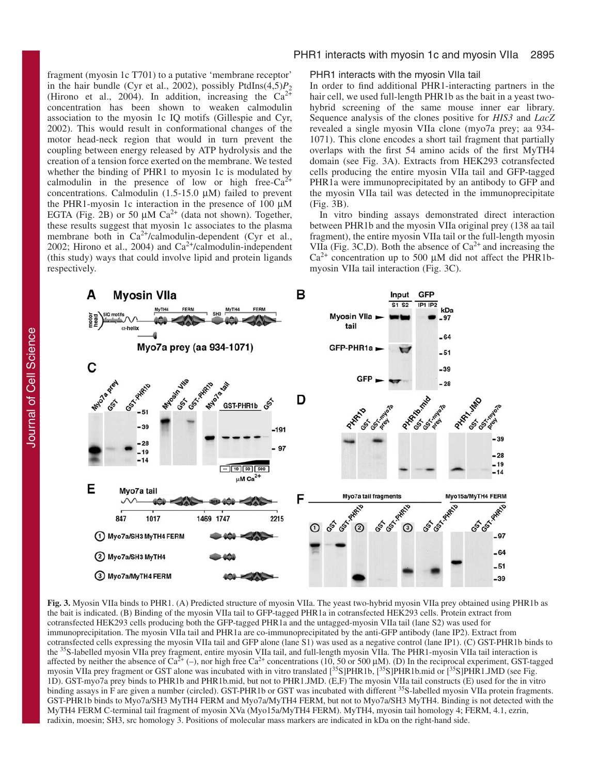fragment (myosin 1c T701) to a putative 'membrane receptor' in the hair bundle (Cyr et al., 2002), possibly PtdIns $(4,5)P_2$ (Hirono et al., 2004). In addition, increasing the  $Ca^{2+}$ concentration has been shown to weaken calmodulin association to the myosin 1c IQ motifs (Gillespie and Cyr, 2002). This would result in conformational changes of the motor head-neck region that would in turn prevent the coupling between energy released by ATP hydrolysis and the creation of a tension force exerted on the membrane. We tested whether the binding of PHR1 to myosin 1c is modulated by calmodulin in the presence of low or high free- $Ca^{2+}$ concentrations. Calmodulin  $(1.5-15.0 \mu M)$  failed to prevent the PHR1-myosin 1c interaction in the presence of 100  $\mu$ M EGTA (Fig. 2B) or 50  $\mu$ M Ca<sup>2+</sup> (data not shown). Together, these results suggest that myosin 1c associates to the plasma membrane both in Ca<sup>2+</sup>/calmodulin-dependent (Cyr et al., 2002; Hirono et al., 2004) and  $Ca^{2+}/c$ almodulin-independent (this study) ways that could involve lipid and protein ligands respectively.

# PHR1 interacts with myosin 1c and myosin VIIa 2895

# PHR1 interacts with the myosin VIIa tail

In order to find additional PHR1-interacting partners in the hair cell, we used full-length PHR1b as the bait in a yeast twohybrid screening of the same mouse inner ear library. Sequence analysis of the clones positive for *HIS3* and *LacZ* revealed a single myosin VIIa clone (myo7a prey; aa 934- 1071). This clone encodes a short tail fragment that partially overlaps with the first 54 amino acids of the first MyTH4 domain (see Fig. 3A). Extracts from HEK293 cotransfected cells producing the entire myosin VIIa tail and GFP-tagged PHR1a were immunoprecipitated by an antibody to GFP and the myosin VIIa tail was detected in the immunoprecipitate (Fig. 3B).

In vitro binding assays demonstrated direct interaction between PHR1b and the myosin VIIa original prey (138 aa tail fragment), the entire myosin VIIa tail or the full-length myosin VIIa (Fig. 3C,D). Both the absence of  $Ca^{2+}$  and increasing the  $Ca^{2+}$  concentration up to 500 µM did not affect the PHR1bmyosin VIIa tail interaction (Fig. 3C).



**Fig. 3.** Myosin VIIa binds to PHR1. (A) Predicted structure of myosin VIIa. The yeast two-hybrid myosin VIIa prey obtained using PHR1b as the bait is indicated. (B) Binding of the myosin VIIa tail to GFP-tagged PHR1a in cotransfected HEK293 cells. Protein extract from cotransfected HEK293 cells producing both the GFP-tagged PHR1a and the untagged-myosin VIIa tail (lane S2) was used for immunoprecipitation. The myosin VIIa tail and PHR1a are co-immunoprecipitated by the anti-GFP antibody (lane IP2). Extract from cotransfected cells expressing the myosin VIIa tail and GFP alone (lane S1) was used as a negative control (lane IP1). (C) GST-PHR1b binds to the <sup>35</sup>S-labelled myosin VIIa prey fragment, entire myosin VIIa tail, and full-length myosin VIIa. The PHR1-myosin VIIa tail interaction is affected by neither the absence of  $Ca^{2+}$  (–), nor high free  $Ca^{2+}$  concentrations (10, 50 or 500 µM). (D) In the reciprocal experiment, GST-tagged myosin VIIa prey fragment or GST alone was incubated with in vitro translated [<sup>35</sup>S]PHR1b, [<sup>35</sup>S]PHR1b.mid or [<sup>35</sup>S]PHR1.JMD (see Fig. 1D). GST-myo7a prey binds to PHR1b and PHR1b.mid, but not to PHR1.JMD. (E,F) The myosin VIIa tail constructs (E) used for the in vitro binding assays in F are given a number (circled). GST-PHR1b or GST was incubated with different <sup>35</sup>S-labelled myosin VIIa protein fragments. GST-PHR1b binds to Myo7a/SH3 MyTH4 FERM and Myo7a/MyTH4 FERM, but not to Myo7a/SH3 MyTH4. Binding is not detected with the MyTH4 FERM C-terminal tail fragment of myosin XVa (Myo15a/MyTH4 FERM). MyTH4, myosin tail homology 4; FERM, 4.1, ezrin, radixin, moesin; SH3, src homology 3. Positions of molecular mass markers are indicated in kDa on the right-hand side.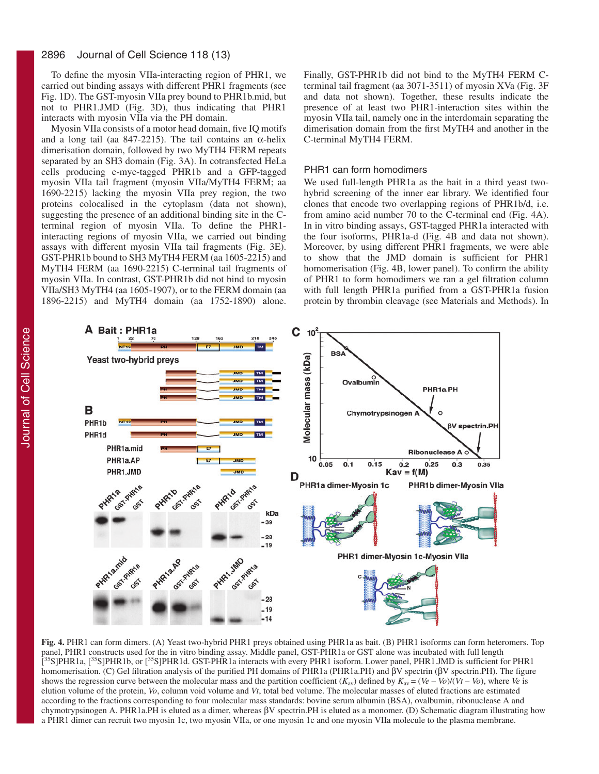#### 2896 Journal of Cell Science 118 (13)

To define the myosin VIIa-interacting region of PHR1, we carried out binding assays with different PHR1 fragments (see Fig. 1D). The GST-myosin VIIa prey bound to PHR1b.mid, but not to PHR1.JMD (Fig. 3D), thus indicating that PHR1 interacts with myosin VIIa via the PH domain.

Myosin VIIa consists of a motor head domain, five IQ motifs and a long tail (aa 847-2215). The tail contains an  $\alpha$ -helix dimerisation domain, followed by two MyTH4 FERM repeats separated by an SH3 domain (Fig. 3A). In cotransfected HeLa cells producing c-myc-tagged PHR1b and a GFP-tagged myosin VIIa tail fragment (myosin VIIa/MyTH4 FERM; aa 1690-2215) lacking the myosin VIIa prey region, the two proteins colocalised in the cytoplasm (data not shown), suggesting the presence of an additional binding site in the Cterminal region of myosin VIIa. To define the PHR1 interacting regions of myosin VIIa, we carried out binding assays with different myosin VIIa tail fragments (Fig. 3E). GST-PHR1b bound to SH3 MyTH4 FERM (aa 1605-2215) and MyTH4 FERM (aa 1690-2215) C-terminal tail fragments of myosin VIIa. In contrast, GST-PHR1b did not bind to myosin VIIa/SH3 MyTH4 (aa 1605-1907), or to the FERM domain (aa 1896-2215) and MyTH4 domain (aa 1752-1890) alone.

Finally, GST-PHR1b did not bind to the MyTH4 FERM Cterminal tail fragment (aa 3071-3511) of myosin XVa (Fig. 3F and data not shown). Together, these results indicate the presence of at least two PHR1-interaction sites within the myosin VIIa tail, namely one in the interdomain separating the dimerisation domain from the first MyTH4 and another in the C-terminal MyTH4 FERM.

### PHR1 can form homodimers

We used full-length PHR1a as the bait in a third yeast twohybrid screening of the inner ear library. We identified four clones that encode two overlapping regions of PHR1b/d, i.e. from amino acid number 70 to the C-terminal end (Fig. 4A). In in vitro binding assays, GST-tagged PHR1a interacted with the four isoforms, PHR1a-d (Fig. 4B and data not shown). Moreover, by using different PHR1 fragments, we were able to show that the JMD domain is sufficient for PHR1 homomerisation (Fig. 4B, lower panel). To confirm the ability of PHR1 to form homodimers we ran a gel filtration column with full length PHR1a purified from a GST-PHR1a fusion protein by thrombin cleavage (see Materials and Methods). In



**Fig. 4.** PHR1 can form dimers. (A) Yeast two-hybrid PHR1 preys obtained using PHR1a as bait. (B) PHR1 isoforms can form heteromers. Top panel, PHR1 constructs used for the in vitro binding assay. Middle panel, GST-PHR1a or GST alone was incubated with full length [<sup>35</sup>S]PHR1a, [<sup>35</sup>S]PHR1b, or [<sup>35</sup>S]PHR1d. GST-PHR1a interacts with every PHR1 isoform. Lower panel, PHR1.JMD is sufficient for PHR1 homomerisation. (C) Gel filtration analysis of the purified PH domains of PHR1a (PHR1a.PH) and βV spectrin (βV spectrin.PH). The figure shows the regression curve between the molecular mass and the partition coefficient  $(K_{av})$  defined by  $K_{av} = (Ve - Vol/(Vi - Vol)$ , where *Ve* is elution volume of the protein, *Vo*, column void volume and *Vt*, total bed volume. The molecular masses of eluted fractions are estimated according to the fractions corresponding to four molecular mass standards: bovine serum albumin (BSA), ovalbumin, ribonuclease A and chymotrypsinogen A. PHR1a.PH is eluted as a dimer, whereas βV spectrin.PH is eluted as a monomer. (D) Schematic diagram illustrating how a PHR1 dimer can recruit two myosin 1c, two myosin VIIa, or one myosin 1c and one myosin VIIa molecule to the plasma membrane.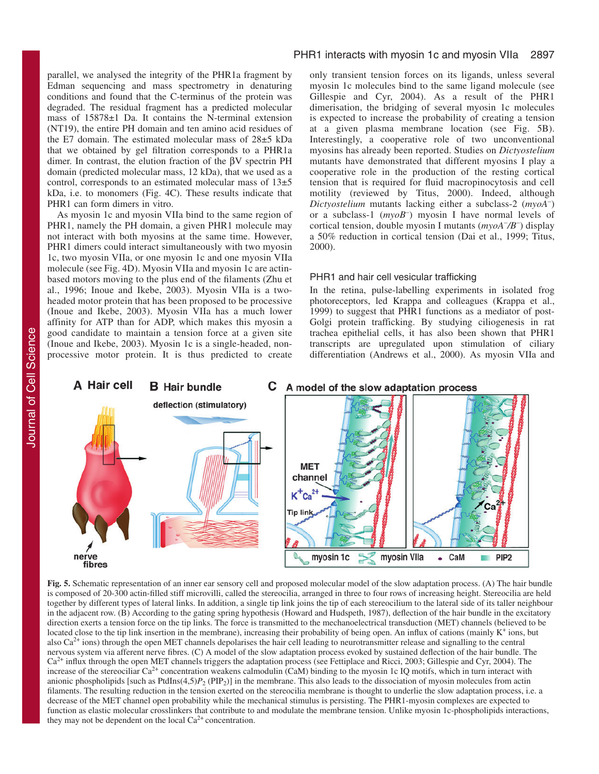parallel, we analysed the integrity of the PHR1a fragment by Edman sequencing and mass spectrometry in denaturing conditions and found that the C-terminus of the protein was degraded. The residual fragment has a predicted molecular mass of 15878±1 Da. It contains the N-terminal extension (NT19), the entire PH domain and ten amino acid residues of the E7 domain. The estimated molecular mass of 28±5 kDa that we obtained by gel filtration corresponds to a PHR1a dimer. In contrast, the elution fraction of the βV spectrin PH domain (predicted molecular mass, 12 kDa), that we used as a control, corresponds to an estimated molecular mass of 13±5 kDa, i.e. to monomers (Fig. 4C). These results indicate that PHR1 can form dimers in vitro.

As myosin 1c and myosin VIIa bind to the same region of PHR1, namely the PH domain, a given PHR1 molecule may not interact with both myosins at the same time. However, PHR1 dimers could interact simultaneously with two myosin 1c, two myosin VIIa, or one myosin 1c and one myosin VIIa molecule (see Fig. 4D). Myosin VIIa and myosin 1c are actinbased motors moving to the plus end of the filaments (Zhu et al., 1996; Inoue and Ikebe, 2003). Myosin VIIa is a twoheaded motor protein that has been proposed to be processive (Inoue and Ikebe, 2003). Myosin VIIa has a much lower affinity for ATP than for ADP, which makes this myosin a good candidate to maintain a tension force at a given site (Inoue and Ikebe, 2003). Myosin 1c is a single-headed, nonprocessive motor protein. It is thus predicted to create

# PHR1 interacts with myosin 1c and myosin VIIa 2897

only transient tension forces on its ligands, unless several myosin 1c molecules bind to the same ligand molecule (see Gillespie and Cyr, 2004). As a result of the PHR1 dimerisation, the bridging of several myosin 1c molecules is expected to increase the probability of creating a tension at a given plasma membrane location (see Fig. 5B). Interestingly, a cooperative role of two unconventional myosins has already been reported. Studies on *Dictyostelium* mutants have demonstrated that different myosins I play a cooperative role in the production of the resting cortical tension that is required for fluid macropinocytosis and cell motility (reviewed by Titus, 2000). Indeed, although *Dictyostelium* mutants lacking either a subclass-2 (*myoA–* ) or a subclass-1 (*myoB–* ) myosin I have normal levels of cortical tension, double myosin I mutants (*myoA– /B–* ) display a 50% reduction in cortical tension (Dai et al., 1999; Titus, 2000).

# PHR1 and hair cell vesicular trafficking

myosin VIIa

CaM

 $\bullet$ 

PIP<sub>2</sub>

In the retina, pulse-labelling experiments in isolated frog photoreceptors, led Krappa and colleagues (Krappa et al., 1999) to suggest that PHR1 functions as a mediator of post-Golgi protein trafficking. By studying ciliogenesis in rat trachea epithelial cells, it has also been shown that PHR1 transcripts are upregulated upon stimulation of ciliary differentiation (Andrews et al., 2000). As myosin VIIa and



**MET** channel Ca **Tip lini** 

myosin 1c

**Fig. 5.** Schematic representation of an inner ear sensory cell and proposed molecular model of the slow adaptation process. (A) The hair bundle is composed of 20-300 actin-filled stiff microvilli, called the stereocilia, arranged in three to four rows of increasing height. Stereocilia are held together by different types of lateral links. In addition, a single tip link joins the tip of each stereocilium to the lateral side of its taller neighbour in the adjacent row. (B) According to the gating spring hypothesis (Howard and Hudspeth, 1987), deflection of the hair bundle in the excitatory direction exerts a tension force on the tip links. The force is transmitted to the mechanoelectrical transduction (MET) channels (believed to be located close to the tip link insertion in the membrane), increasing their probability of being open. An influx of cations (mainly K<sup>+</sup> ions, but also  $Ca^{2+}$  ions) through the open MET channels depolarises the hair cell leading to neurotransmitter release and signalling to the central nervous system via afferent nerve fibres. (C) A model of the slow adaptation process evoked by sustained deflection of the hair bundle. The Ca<sup>2+</sup> influx through the open MET channels triggers the adaptation process (see Fettiplace and Ricci, 2003; Gillespie and Cyr, 2004). The increase of the stereociliar Ca<sup>2+</sup> concentration weakens calmodulin (CaM) binding to the myosin 1c IQ motifs, which in turn interact with anionic phospholipids [such as PtdIns(4,5)*P*<sub>2</sub> (PIP<sub>2</sub>)] in the membrane. This also leads to the dissociation of myosin molecules from actin filaments. The resulting reduction in the tension exerted on the stereocilia membrane is thought to underlie the slow adaptation process, i.e. a decrease of the MET channel open probability while the mechanical stimulus is persisting. The PHR1-myosin complexes are expected to function as elastic molecular crosslinkers that contribute to and modulate the membrane tension. Unlike myosin 1c-phospholipids interactions, they may not be dependent on the local  $Ca^{2+}$  concentration.

nerve

fibres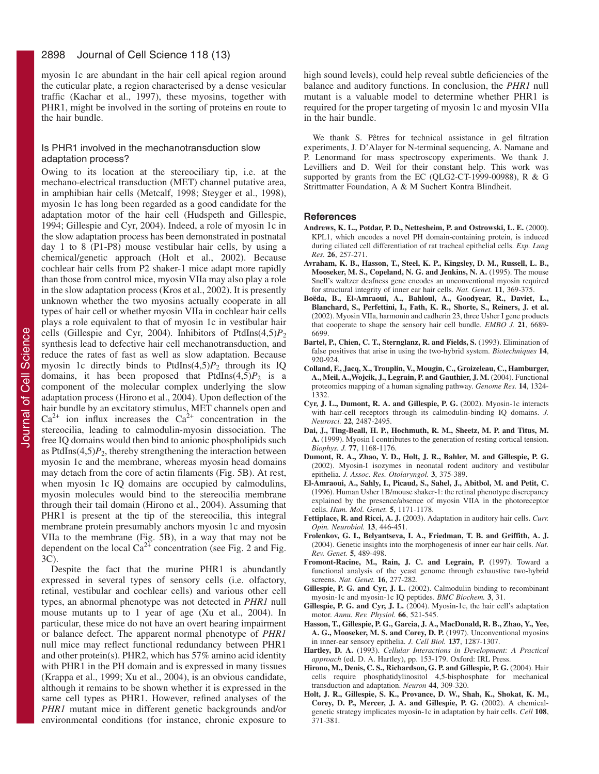myosin 1c are abundant in the hair cell apical region around the cuticular plate, a region characterised by a dense vesicular traffic (Kachar et al., 1997), these myosins, together with PHR1, might be involved in the sorting of proteins en route to the hair bundle.

# Is PHR1 involved in the mechanotransduction slow adaptation process?

Owing to its location at the stereociliary tip, i.e. at the mechano-electrical transduction (MET) channel putative area, in amphibian hair cells (Metcalf, 1998; Steyger et al., 1998), myosin 1c has long been regarded as a good candidate for the adaptation motor of the hair cell (Hudspeth and Gillespie, 1994; Gillespie and Cyr, 2004). Indeed, a role of myosin 1c in the slow adaptation process has been demonstrated in postnatal day 1 to 8 (P1-P8) mouse vestibular hair cells, by using a chemical/genetic approach (Holt et al., 2002). Because cochlear hair cells from P2 shaker-1 mice adapt more rapidly than those from control mice, myosin VIIa may also play a role in the slow adaptation process (Kros et al., 2002). It is presently unknown whether the two myosins actually cooperate in all types of hair cell or whether myosin VIIa in cochlear hair cells plays a role equivalent to that of myosin 1c in vestibular hair cells (Gillespie and Cyr, 2004). Inhibitors of PtdIns $(4,5)P_2$ synthesis lead to defective hair cell mechanotransduction, and reduce the rates of fast as well as slow adaptation. Because myosin 1c directly binds to PtdIns $(4,5)P_2$  through its IQ domains, it has been proposed that  $PtdIns(4,5)P_2$  is a component of the molecular complex underlying the slow adaptation process (Hirono et al., 2004). Upon deflection of the hair bundle by an excitatory stimulus, MET channels open and  $Ca^{2+}$  ion influx increases the  $Ca^{2+}$  concentration in the stereocilia, leading to calmodulin-myosin dissociation. The free IQ domains would then bind to anionic phospholipids such as PtdIns $(4,5)P_2$ , thereby strengthening the interaction between myosin 1c and the membrane, whereas myosin head domains may detach from the core of actin filaments (Fig. 5B). At rest, when myosin 1c IQ domains are occupied by calmodulins, myosin molecules would bind to the stereocilia membrane through their tail domain (Hirono et al., 2004). Assuming that PHR1 is present at the tip of the stereocilia, this integral membrane protein presumably anchors myosin 1c and myosin VIIa to the membrane (Fig. 5B), in a way that may not be dependent on the local  $Ca^{2+}$  concentration (see Fig. 2 and Fig. 3C).

Despite the fact that the murine PHR1 is abundantly expressed in several types of sensory cells (i.e. olfactory, retinal, vestibular and cochlear cells) and various other cell types, an abnormal phenotype was not detected in *PHR1* null mouse mutants up to 1 year of age (Xu et al., 2004). In particular, these mice do not have an overt hearing impairment or balance defect. The apparent normal phenotype of *PHR1* null mice may reflect functional redundancy between PHR1 and other protein(s). PHR2, which has 57% amino acid identity with PHR1 in the PH domain and is expressed in many tissues (Krappa et al., 1999; Xu et al., 2004), is an obvious candidate, although it remains to be shown whether it is expressed in the same cell types as PHR1. However, refined analyses of the *PHR1* mutant mice in different genetic backgrounds and/or environmental conditions (for instance, chronic exposure to

high sound levels), could help reveal subtle deficiencies of the balance and auditory functions. In conclusion, the *PHR1* null mutant is a valuable model to determine whether PHR1 is required for the proper targeting of myosin 1c and myosin VIIa in the hair bundle.

We thank S. Pêtres for technical assistance in gel filtration experiments, J. D'Alayer for N-terminal sequencing, A. Namane and P. Lenormand for mass spectroscopy experiments. We thank J. Levilliers and D. Weil for their constant help. This work was supported by grants from the EC (QLG2-CT-1999-00988), R & G Strittmatter Foundation, A & M Suchert Kontra Blindheit.

# **References**

- **Andrews, K. L., Potdar, P. D., Nettesheim, P. and Ostrowski, L. E.** (2000). KPL1, which encodes a novel PH domain-containing protein, is induced during ciliated cell differentiation of rat tracheal epithelial cells. *Exp. Lung Res.* **26**, 257-271.
- **Avraham, K. B., Hasson, T., Steel, K. P., Kingsley, D. M., Russell, L. B., Mooseker, M. S., Copeland, N. G. and Jenkins, N. A.** (1995). The mouse Snell's waltzer deafness gene encodes an unconventional myosin required for structural integrity of inner ear hair cells. *Nat. Genet.* **11**, 369-375.
- **Boëda, B., El-Amraoui, A., Bahloul, A., Goodyear, R., Daviet, L., Blanchard, S., Perfettini, I., Fath, K. R., Shorte, S., Reiners, J. et al.** (2002). Myosin VIIa, harmonin and cadherin 23, three Usher I gene products that cooperate to shape the sensory hair cell bundle. *EMBO J.* **21**, 6689- 6699.
- **Bartel, P., Chien, C. T., Sternglanz, R. and Fields, S.** (1993). Elimination of false positives that arise in using the two-hybrid system. *Biotechniques* **14**, 920-924.
- **Colland, F., Jacq, X., Trouplin, V., Mougin, C., Groizeleau, C., Hamburger, A., Meil, A.,Wojcik, J., Legrain, P. and Gauthier, J. M.** (2004). Functional proteomics mapping of a human signaling pathway. *Genome Res.* **14**, 1324- 1332.
- **Cyr, J. L., Dumont, R. A. and Gillespie, P. G.** (2002). Myosin-1c interacts with hair-cell receptors through its calmodulin-binding IQ domains. *J. Neurosci.* **22**, 2487-2495.
- **Dai, J., Ting-Beall, H. P., Hochmuth, R. M., Sheetz, M. P. and Titus, M. A.** (1999). Myosin I contributes to the generation of resting cortical tension. *Biophys. J.* **77**, 1168-1176.
- **Dumont, R. A., Zhao, Y. D., Holt, J. R., Bahler, M. and Gillespie, P. G.** (2002). Myosin-I isozymes in neonatal rodent auditory and vestibular epithelia. *J. Assoc. Res. Otolaryngol.* **3**, 375-389.
- **El-Amraoui, A., Sahly, I., Picaud, S., Sahel, J., Abitbol, M. and Petit, C.** (1996). Human Usher 1B/mouse shaker-1: the retinal phenotype discrepancy explained by the presence/absence of myosin VIIA in the photoreceptor cells. *Hum. Mol. Genet.* **5**, 1171-1178.
- **Fettiplace, R. and Ricci, A. J.** (2003). Adaptation in auditory hair cells. *Curr. Opin. Neurobiol.* **13**, 446-451.
- **Frolenkov, G. I., Belyantseva, I. A., Friedman, T. B. and Griffith, A. J.** (2004). Genetic insights into the morphogenesis of inner ear hair cells. *Nat. Rev. Genet.* **5**, 489-498.
- **Fromont-Racine, M., Rain, J. C. and Legrain, P.** (1997). Toward a functional analysis of the yeast genome through exhaustive two-hybrid screens. *Nat. Genet.* **16**, 277-282.
- **Gillespie, P. G. and Cyr, J. L.** (2002). Calmodulin binding to recombinant myosin-1c and myosin-1c IQ peptides. *BMC Biochem.* **3**, 31.
- **Gillespie, P. G. and Cyr, J. L.** (2004). Myosin-1c, the hair cell's adaptation motor. *Annu. Rev. Physiol.* **66**, 521-545.
- **Hasson, T., Gillespie, P. G., Garcia, J. A., MacDonald, R. B., Zhao, Y., Yee, A. G., Mooseker, M. S. and Corey, D. P.** (1997). Unconventional myosins in inner-ear sensory epithelia. *J. Cell Biol.* **137**, 1287-1307.
- **Hartley, D. A.** (1993). *Cellular Interactions in Development: A Practical approach* (ed. D. A. Hartley), pp. 153-179. Oxford: IRL Press.
- **Hirono, M., Denis, C. S., Richardson, G. P. and Gillespie, P. G.** (2004). Hair cells require phosphatidylinositol 4,5-bisphosphate for mechanical transduction and adaptation. *Neuron* **44**, 309-320.
- **Holt, J. R., Gillespie, S. K., Provance, D. W., Shah, K., Shokat, K. M., Corey, D. P., Mercer, J. A. and Gillespie, P. G.** (2002). A chemicalgenetic strategy implicates myosin-1c in adaptation by hair cells. *Cell* **108**, 371-381.